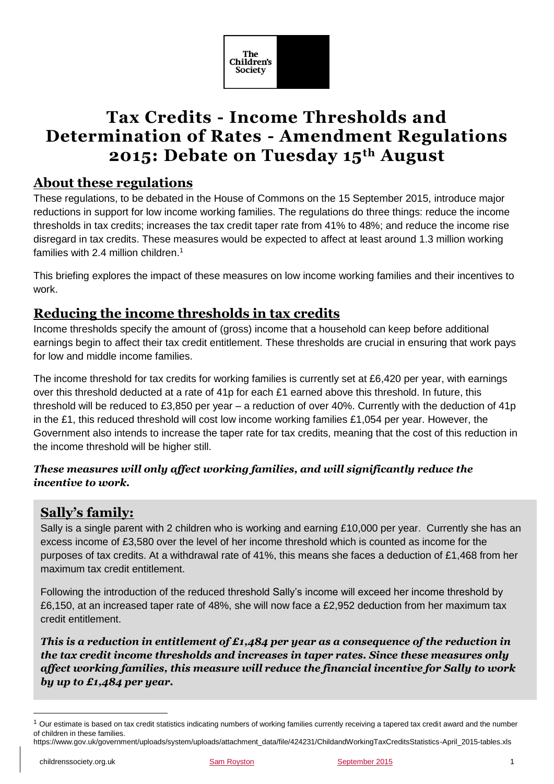

# **Tax Credits - Income Thresholds and Determination of Rates - Amendment Regulations 2015: Debate on Tuesday 15th August**

## **About these regulations**

These regulations, to be debated in the House of Commons on the 15 September 2015, introduce major reductions in support for low income working families. The regulations do three things: reduce the income thresholds in tax credits; increases the tax credit taper rate from 41% to 48%; and reduce the income rise disregard in tax credits. These measures would be expected to affect at least around 1.3 million working families with 2.4 million children.<sup>1</sup>

This briefing explores the impact of these measures on low income working families and their incentives to work.

# **Reducing the income thresholds in tax credits**

Income thresholds specify the amount of (gross) income that a household can keep before additional earnings begin to affect their tax credit entitlement. These thresholds are crucial in ensuring that work pays for low and middle income families.

The income threshold for tax credits for working families is currently set at £6,420 per year, with earnings over this threshold deducted at a rate of 41p for each £1 earned above this threshold. In future, this threshold will be reduced to £3,850 per year – a reduction of over 40%. Currently with the deduction of 41p in the £1, this reduced threshold will cost low income working families £1,054 per year. However, the Government also intends to increase the taper rate for tax credits, meaning that the cost of this reduction in the income threshold will be higher still.

#### *These measures will only affect working families, and will significantly reduce the incentive to work.*

# **Sally's family:**

Sally is a single parent with 2 children who is working and earning £10,000 per year. Currently she has an excess income of £3,580 over the level of her income threshold which is counted as income for the purposes of tax credits. At a withdrawal rate of 41%, this means she faces a deduction of £1,468 from her maximum tax credit entitlement.

Following the introduction of the reduced threshold Sally's income will exceed her income threshold by £6,150, at an increased taper rate of 48%, she will now face a £2,952 deduction from her maximum tax credit entitlement.

*This is a reduction in entitlement of £1,484 per year as a consequence of the reduction in the tax credit income thresholds and increases in taper rates. Since these measures only affect working families, this measure will reduce the financial incentive for Sally to work by up to £1,484 per year.*

1

 $1$  Our estimate is based on tax credit statistics indicating numbers of working families currently receiving a tapered tax credit award and the number of children in these families.

https://www.gov.uk/government/uploads/system/uploads/attachment\_data/file/424231/ChildandWorkingTaxCreditsStatistics-April\_2015-tables.xls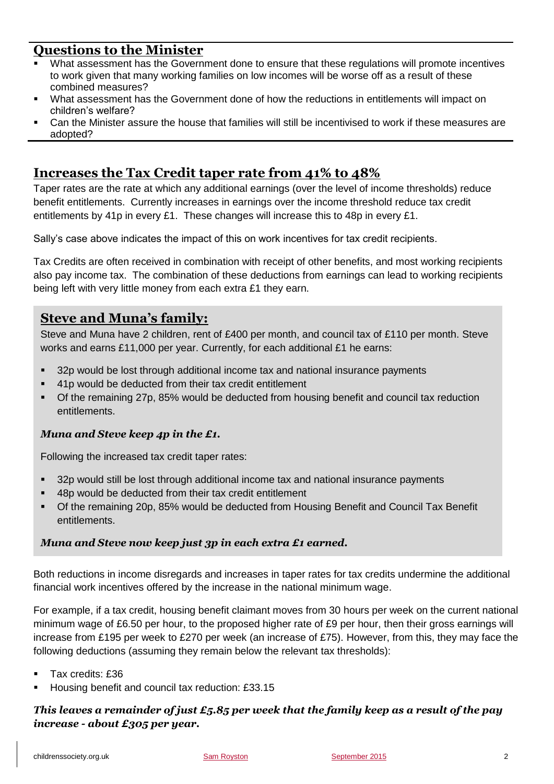### **Questions to the Minister**

- What assessment has the Government done to ensure that these regulations will promote incentives to work given that many working families on low incomes will be worse off as a result of these combined measures?
- What assessment has the Government done of how the reductions in entitlements will impact on children's welfare?
- Can the Minister assure the house that families will still be incentivised to work if these measures are adopted?

# **Increases the Tax Credit taper rate from 41% to 48%**

Taper rates are the rate at which any additional earnings (over the level of income thresholds) reduce benefit entitlements. Currently increases in earnings over the income threshold reduce tax credit entitlements by 41p in every £1. These changes will increase this to 48p in every £1.

Sally's case above indicates the impact of this on work incentives for tax credit recipients.

Tax Credits are often received in combination with receipt of other benefits, and most working recipients also pay income tax. The combination of these deductions from earnings can lead to working recipients being left with very little money from each extra £1 they earn.

### **Steve and Muna's family:**

Steve and Muna have 2 children, rent of £400 per month, and council tax of £110 per month. Steve works and earns £11,000 per year. Currently, for each additional £1 he earns:

- 32p would be lost through additional income tax and national insurance payments
- 41p would be deducted from their tax credit entitlement
- Of the remaining 27p, 85% would be deducted from housing benefit and council tax reduction entitlements.

#### *Muna and Steve keep 4p in the £1.*

Following the increased tax credit taper rates:

- 32p would still be lost through additional income tax and national insurance payments
- 48p would be deducted from their tax credit entitlement
- Of the remaining 20p, 85% would be deducted from Housing Benefit and Council Tax Benefit entitlements.

#### *Muna and Steve now keep just 3p in each extra £1 earned.*

Both reductions in income disregards and increases in taper rates for tax credits undermine the additional financial work incentives offered by the increase in the national minimum wage.

For example, if a tax credit, housing benefit claimant moves from 30 hours per week on the current national minimum wage of £6.50 per hour, to the proposed higher rate of £9 per hour, then their gross earnings will increase from £195 per week to £270 per week (an increase of £75). However, from this, they may face the following deductions (assuming they remain below the relevant tax thresholds):

- Tax credits: £36
- Housing benefit and council tax reduction: £33.15

#### *This leaves a remainder of just £5.85 per week that the family keep as a result of the pay increase - about £305 per year.*